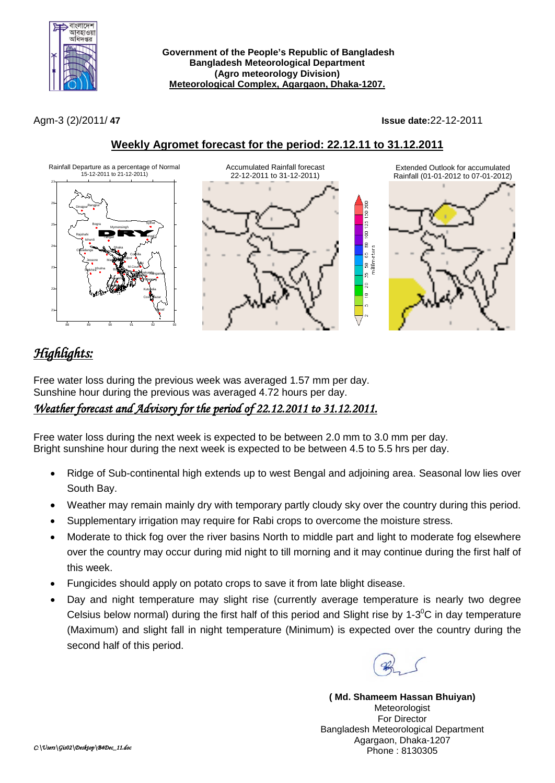

**Government of the People's Republic of Bangladesh Bangladesh Meteorological Department (Agro meteorology Division) Meteorological Complex, Agargaon, Dhaka-1207.**

Agm-3 (2)/2011/ **47 Issue date:**22-12-2011



## **Weekly Agromet forecast for the period: 22.12.11 to 31.12.2011**

# *Highlights:*

Free water loss during the previous week was averaged 1.57 mm per day. Sunshine hour during the previous was averaged 4.72 hours per day. *Weather forecast and Advisory for the period of 22.12.2011 to 31.12.2011.* 

Free water loss during the next week is expected to be between 2.0 mm to 3.0 mm per day. Bright sunshine hour during the next week is expected to be between 4.5 to 5.5 hrs per day.

- Ridge of Sub-continental high extends up to west Bengal and adjoining area. Seasonal low lies over South Bay.
- Weather may remain mainly dry with temporary partly cloudy sky over the country during this period.
- Supplementary irrigation may require for Rabi crops to overcome the moisture stress.
- Moderate to thick fog over the river basins North to middle part and light to moderate fog elsewhere over the country may occur during mid night to till morning and it may continue during the first half of this week.
- Fungicides should apply on potato crops to save it from late blight disease.
- Day and night temperature may slight rise (currently average temperature is nearly two degree Celsius below normal) during the first half of this period and Slight rise by 1-3<sup>°</sup>C in day temperature (Maximum) and slight fall in night temperature (Minimum) is expected over the country during the second half of this period.



**( Md. Shameem Hassan Bhuiyan) Meteorologist** For Director Bangladesh Meteorological Department Agargaon, Dhaka-1207 Phone : 8130305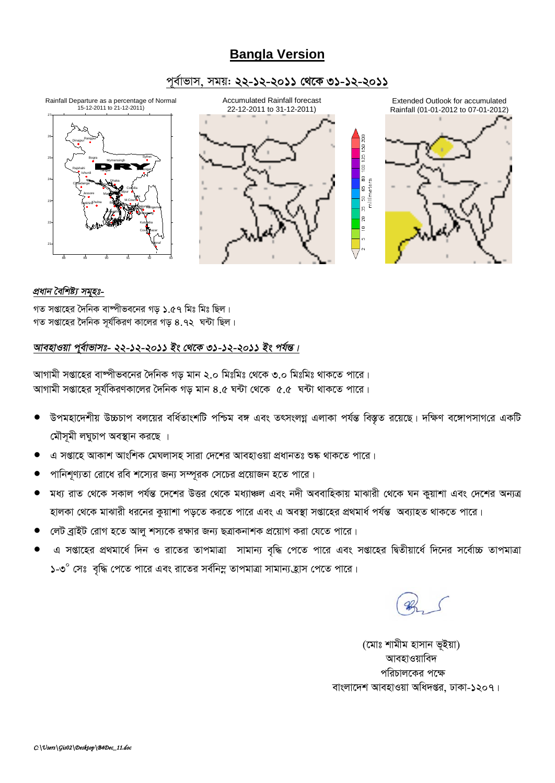## **Bangla Version**

### পূর্বাভাস, সময়: ২২-১২-২০১১ থেকে ৩১-১২-২০১১



### প্ৰধান বৈশিষ্ট্য সমূহঃ-

গত সপ্তাহের দৈনিক বাষ্পীভবনের গড় ১.৫৭ মিঃ মিঃ ছিল। গত সপ্তাহের দৈনিক সর্যকিরণ কালের গড় ৪.৭২ ঘন্টা ছিল।

### আবহাওয়া পূর্বাভাসঃ- ২২-১২-২০১১ ইং থেকে ৩১-১২-২০১১ ইং পর্যন্ত।

আগামী সপ্তাহের বাস্পীভবনের দৈনিক গড মান ২.০ মিঃমিঃ থেকে ৩.০ মিঃমিঃ থাকতে পারে। আগামী সপ্তাহের সূর্যকিরণকালের দৈনিক গড় মান ৪.৫ ঘন্টা থেকে ৫.৫ ঘন্টা থাকতে পারে।

- উপমহাদেশীয় উচ্চচাপ বলয়ের বর্ধিতাংশটি পশ্চিম বঙ্গ এবং তৎসংলগ্ন এলাকা পর্যন্ত বিস্তৃত রয়েছে। দক্ষিণ বঙ্গোপসাগরে একটি মৌসূমী লঘুচাপ অবস্থান করছে ।
- এ সপ্তাহে আকাশ আংশিক মেঘলাসহ সারা দেশের আবহাওয়া প্রধানতঃ শুষ্ক থাকতে পারে।
- পানিশণ্যতা রোধে রবি শস্যের জন্য সম্পূরক সেচের প্রয়োজন হতে পারে।
- মধ্য রাত থেকে সকাল পর্যন্ত দেশের উত্তর থেকে মধ্যাঞ্চল এবং নদী অববাহিকায় মাঝারী থেকে ঘন কুয়াশা এবং দেশের অন্যত্র হালকা থেকে মাঝারী ধরনের কুয়াশা পড়তে করতে পারে এবং এ অবস্থা সপ্তাহের প্রথমার্ধ পর্যন্ত অব্যাহত থাকতে পারে।
- লেট ব্রাইট রোগ হতে আলু শস্যকে রক্ষার জন্য ছত্রাকনাশক প্রয়োগ করা যেতে পারে।
- এ সপ্তাহের প্রথমার্ধে দিন ও রাতের তাপমাত্রা সামান্য বৃদ্ধি পেতে পারে এবং সপ্তাহের দ্বিতীয়ার্ধে দিনের সর্বোচ্চ তাপমাত্রা ১-৩° সেঃ বৃদ্ধি পেতে পারে এবং রাতের সর্বনিম্ন তাপমাত্রা সামান্য হ্রাস পেতে পারে।

(মোঃ শামীম হাসান ভূইয়া) আবহাওয়াবিদ পরিচালকের পক্ষে বাংলাদেশ আবহাওয়া অধিদপ্তর, ঢাকা-১২০৭।